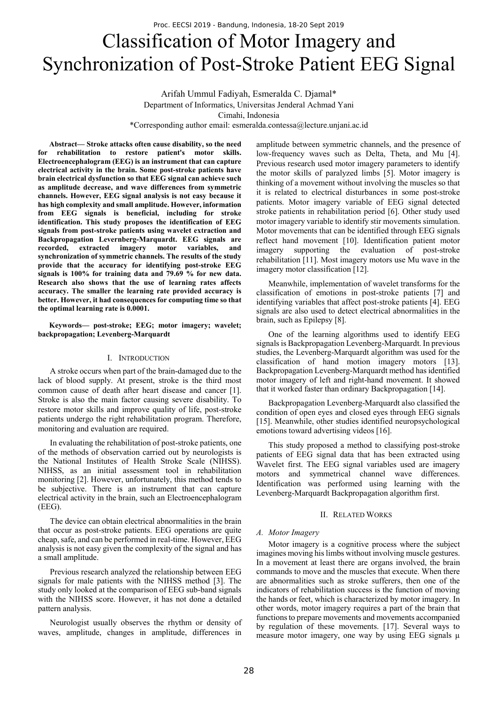# Classification of Motor Imagery and Synchronization of Post-Stroke Patient EEG Signal

Arifah Ummul Fadiyah, Esmeralda C. Djamal\* Department of Informatics, Universitas Jenderal Achmad Yani Cimahi, Indonesia \*Corresponding author email: esmeralda.contessa@lecture.unjani.ac.id

**Abstract— Stroke attacks often cause disability, so the need for rehabilitation to restore patient's motor skills. Electroencephalogram (EEG) is an instrument that can capture electrical activity in the brain. Some post-stroke patients have brain electrical dysfunction so that EEG signal can achieve such as amplitude decrease, and wave differences from symmetric channels. However, EEG signal analysis is not easy because it has high complexity and small amplitude. However, information from EEG signals is beneficial, including for stroke identification. This study proposes the identification of EEG signals from post-stroke patients using wavelet extraction and Backpropagation Levernberg-Marquardt. EEG signals are recorded, extracted imagery motor variables, and synchronization of symmetric channels. The results of the study provide that the accuracy for identifying post-stroke EEG signals is 100% for training data and 79.69 % for new data. Research also shows that the use of learning rates affects accuracy. The smaller the learning rate provided accuracy is better. However, it had consequences for computing time so that the optimal learning rate is 0.0001.** 

**Keywords— post-stroke; EEG; motor imagery; wavelet; backpropagation; Levenberg-Marquardt** 

### I. INTRODUCTION

A stroke occurs when part of the brain-damaged due to the lack of blood supply. At present, stroke is the third most common cause of death after heart disease and cancer [1]. Stroke is also the main factor causing severe disability. To restore motor skills and improve quality of life, post-stroke patients undergo the right rehabilitation program. Therefore, monitoring and evaluation are required.

In evaluating the rehabilitation of post-stroke patients, one of the methods of observation carried out by neurologists is the National Institutes of Health Stroke Scale (NIHSS). NIHSS, as an initial assessment tool in rehabilitation monitoring [2]. However, unfortunately, this method tends to be subjective. There is an instrument that can capture electrical activity in the brain, such an Electroencephalogram (EEG).

The device can obtain electrical abnormalities in the brain that occur as post-stroke patients. EEG operations are quite cheap, safe, and can be performed in real-time. However, EEG analysis is not easy given the complexity of the signal and has a small amplitude.

Previous research analyzed the relationship between EEG signals for male patients with the NIHSS method [3]. The study only looked at the comparison of EEG sub-band signals with the NIHSS score. However, it has not done a detailed pattern analysis.

Neurologist usually observes the rhythm or density of waves, amplitude, changes in amplitude, differences in

amplitude between symmetric channels, and the presence of low-frequency waves such as Delta, Theta, and Mu [4]. Previous research used motor imagery parameters to identify the motor skills of paralyzed limbs [5]. Motor imagery is thinking of a movement without involving the muscles so that it is related to electrical disturbances in some post-stroke patients. Motor imagery variable of EEG signal detected stroke patients in rehabilitation period [6]. Other study used motor imagery variable to identify stir movements simulation. Motor movements that can be identified through EEG signals reflect hand movement [10]. Identification patient motor imagery supporting the evaluation of post-stroke rehabilitation [11]. Most imagery motors use Mu wave in the imagery motor classification [12].

Meanwhile, implementation of wavelet transforms for the classification of emotions in post-stroke patients [7] and identifying variables that affect post-stroke patients [4]. EEG signals are also used to detect electrical abnormalities in the brain, such as Epilepsy [8].

One of the learning algorithms used to identify EEG signals is Backpropagation Levenberg-Marquardt. In previous studies, the Levenberg-Marquardt algorithm was used for the classification of hand motion imagery motors [13]. Backpropagation Levenberg-Marquardt method has identified motor imagery of left and right-hand movement. It showed that it worked faster than ordinary Backpropagation [14].

Backpropagation Levenberg-Marquardt also classified the condition of open eyes and closed eyes through EEG signals [15]. Meanwhile, other studies identified neuropsychological emotions toward advertising videos [16].

This study proposed a method to classifying post-stroke patients of EEG signal data that has been extracted using Wavelet first. The EEG signal variables used are imagery motors and symmetrical channel wave differences. Identification was performed using learning with the Levenberg-Marquardt Backpropagation algorithm first.

#### II. RELATED WORKS

#### *A. Motor Imagery*

Motor imagery is a cognitive process where the subject imagines moving his limbs without involving muscle gestures. In a movement at least there are organs involved, the brain commands to move and the muscles that execute. When there are abnormalities such as stroke sufferers, then one of the indicators of rehabilitation success is the function of moving the hands or feet, which is characterized by motor imagery. In other words, motor imagery requires a part of the brain that functions to prepare movements and movements accompanied by regulation of these movements. [17]. Several ways to measure motor imagery, one way by using EEG signals  $\mu$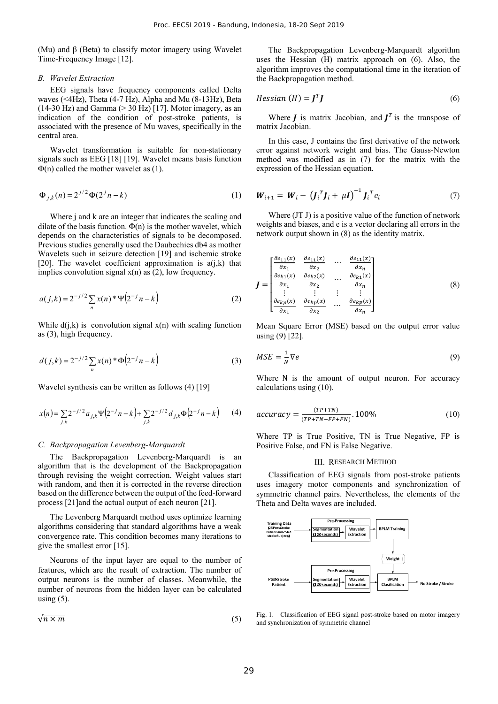(Mu) and  $β$  (Beta) to classify motor imagery using Wavelet Time-Frequency Image [12].

# *B. Wavelet Extraction*

EEG signals have frequency components called Delta waves (<4Hz), Theta (4-7 Hz), Alpha and Mu (8-13Hz), Beta  $(14-30 \text{ Hz})$  and Gamma  $(> 30 \text{ Hz})$  [17]. Motor imagery, as an indication of the condition of post-stroke patients, is associated with the presence of Mu waves, specifically in the central area.

Wavelet transformation is suitable for non-stationary signals such as EEG [18] [19]. Wavelet means basis function  $\Phi(n)$  called the mother wavelet as (1).

$$
\Phi_{j,k}(n) = 2^{j/2} \Phi(2^{j}n - k)
$$
 (1)

Where j and k are an integer that indicates the scaling and dilate of the basis function.  $\Phi(n)$  is the mother wavelet, which depends on the characteristics of signals to be decomposed. Previous studies generally used the Daubechies db4 as mother Wavelets such in seizure detection [19] and ischemic stroke [20]. The wavelet coefficient approximation is  $a(j,k)$  that implies convolution signal  $x(n)$  as  $(2)$ , low frequency.

$$
a(j,k) = 2^{-j/2} \sum_{n} x(n) * \Psi(2^{-j}n - k)
$$
 (2)

While  $d(i,k)$  is convolution signal  $x(n)$  with scaling function as (3), high frequency.

$$
d(j,k) = 2^{-j/2} \sum_{n} x(n)^* \Phi(2^{-j}n - k)
$$
 (3)

Wavelet synthesis can be written as follows (4) [19]

$$
x(n) = \sum_{j,k} 2^{-j/2} a_{j,k} \Psi\left(2^{-j}n - k\right) + \sum_{j,k} 2^{-j/2} d_{j,k} \Phi\left(2^{-j}n - k\right) \tag{4}
$$

#### *C. Backpropagation Levenberg-Marquardt*

The Backpropagation Levenberg-Marquardt is an algorithm that is the development of the Backpropagation through revising the weight correction. Weight values start with random, and then it is corrected in the reverse direction based on the difference between the output of the feed-forward process [21]and the actual output of each neuron [21].

The Levenberg Marquardt method uses optimize learning algorithms considering that standard algorithms have a weak convergence rate. This condition becomes many iterations to give the smallest error [15].

Neurons of the input layer are equal to the number of features, which are the result of extraction. The number of output neurons is the number of classes. Meanwhile, the number of neurons from the hidden layer can be calculated using  $(5)$ .

$$
\sqrt{n \times m} \tag{5}
$$

The Backpropagation Levenberg-Marquardt algorithm uses the Hessian (H) matrix approach on (6). Also, the algorithm improves the computational time in the iteration of the Backpropagation method.

$$
Hessian (H) = JTJ
$$
 (6)

Where  $\boldsymbol{J}$  is matrix Jacobian, and  $\boldsymbol{J}^T$  is the transpose of matrix Jacobian.

In this case, J contains the first derivative of the network error against network weight and bias. The Gauss-Newton method was modified as in (7) for the matrix with the expression of the Hessian equation.

$$
W_{i+1} = W_i - (J_i^T J_i + \mu I)^{-1} J_i^T e_i \tag{7}
$$

Where (JT J) is a positive value of the function of network weights and biases, and e is a vector declaring all errors in the network output shown in (8) as the identity matrix.

$$
J = \begin{bmatrix} \frac{\partial e_{11}(x)}{\partial x_1} & \frac{\partial e_{11}(x)}{\partial x_2} & \cdots & \frac{\partial e_{11}(x)}{\partial x_n} \\ \frac{\partial e_{k1}(x)}{\partial x_1} & \frac{\partial e_{k2}(x)}{\partial x_2} & \cdots & \frac{\partial e_{k1}(x)}{\partial x_n} \\ \vdots & \vdots & \vdots & \vdots \\ \frac{\partial e_{kp}(x)}{\partial x_1} & \frac{\partial e_{kp}(x)}{\partial x_2} & \cdots & \frac{\partial e_{kp}(x)}{\partial x_n} \end{bmatrix}
$$
(8)

Mean Square Error (MSE) based on the output error value using (9) [22].

$$
MSE = \frac{1}{N} \nabla e \tag{9}
$$

Where N is the amount of output neuron. For accuracy calculations using (10).

$$
accuracy = \frac{(TP+TN)}{(TP+TN+FP+FN)} \cdot 100\%
$$
 (10)

Where TP is True Positive, TN is True Negative, FP is Positive False, and FN is False Negative.

# III. RESEARCH METHOD

Classification of EEG signals from post-stroke patients uses imagery motor components and synchronization of symmetric channel pairs. Nevertheless, the elements of the Theta and Delta waves are included.



Fig. 1. Classification of EEG signal post-stroke based on motor imagery and synchronization of symmetric channel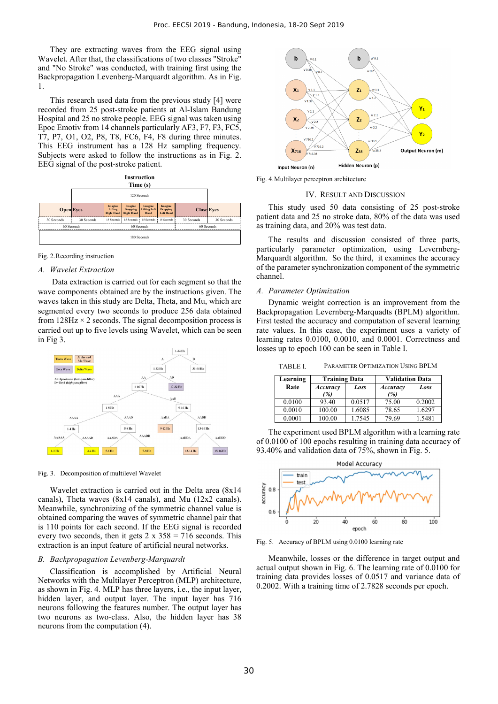They are extracting waves from the EEG signal using Wavelet. After that, the classifications of two classes "Stroke" and "No Stroke" was conducted, with training first using the Backpropagation Levenberg-Marquardt algorithm. As in Fig. 1.

This research used data from the previous study [4] were recorded from 25 post-stroke patients at Al-Islam Bandung Hospital and 25 no stroke people. EEG signal was taken using Epoc Emotiv from 14 channels particularly AF3, F7, F3, FC5, T7, P7, O1, O2, P8, T8, FC6, F4, F8 during three minutes. This EEG instrument has a 128 Hz sampling frequency. Subjects were asked to follow the instructions as in Fig. 2. EEG signal of the post-stroke patient.





# *A. Wavelet Extraction*

 Data extraction is carried out for each segment so that the wave components obtained are by the instructions given. The waves taken in this study are Delta, Theta, and Mu, which are segmented every two seconds to produce 256 data obtained from  $128\text{Hz} \times 2$  seconds. The signal decomposition process is carried out up to five levels using Wavelet, which can be seen in Fig 3.



Fig. 3. Decomposition of multilevel Wavelet

Wavelet extraction is carried out in the Delta area (8x14 canals), Theta waves (8x14 canals), and Mu (12x2 canals). Meanwhile, synchronizing of the symmetric channel value is obtained comparing the waves of symmetric channel pair that is 110 points for each second. If the EEG signal is recorded every two seconds, then it gets  $2 \times 358 = 716$  seconds. This extraction is an input feature of artificial neural networks.

#### *B. Backpropagation Levenberg-Marquardt*

Classification is accomplished by Artificial Neural Networks with the Multilayer Perceptron (MLP) architecture, as shown in Fig. 4. MLP has three layers, i.e., the input layer, hidden layer, and output layer. The input layer has 716 neurons following the features number. The output layer has two neurons as two-class. Also, the hidden layer has 38 neurons from the computation (4).



Fig. 4.Multilayer perceptron architecture

#### IV. RESULT AND DISCUSSION

This study used 50 data consisting of 25 post-stroke patient data and 25 no stroke data, 80% of the data was used as training data, and 20% was test data.

The results and discussion consisted of three parts, particularly parameter optimization, using Levernberg-Marquardt algorithm. So the third, it examines the accuracy of the parameter synchronization component of the symmetric channel.

# *A. Parameter Optimization*

Dynamic weight correction is an improvement from the Backpropagation Levernberg-Marquadts (BPLM) algorithm. First tested the accuracy and computation of several learning rate values. In this case, the experiment uses a variety of learning rates 0.0100, 0.0010, and 0.0001. Correctness and losses up to epoch 100 can be seen in Table I.

TABLE I. PARAMETER OPTIMIZATION USING BPLM

| Learning | <b>Training Data</b> |        | <b>Validation Data</b> |        |
|----------|----------------------|--------|------------------------|--------|
| Rate     | Accuracy             | Loss   | <b>Accuracy</b>        | Loss   |
|          | %)                   |        | (%)                    |        |
| 0.0100   | 93.40                | 0.0517 | 75.00                  | 0.2002 |
| 0.0010   | 100.00               | 1.6085 | 78.65                  | 1.6297 |
| 0.0001   | 100.00               | 1.7545 | 79.69                  | 1.5481 |

The experiment used BPLM algorithm with a learning rate of 0.0100 of 100 epochs resulting in training data accuracy of 93.40% and validation data of 75%, shown in Fig. 5.



Fig. 5. Accuracy of BPLM using 0.0100 learning rate

Meanwhile, losses or the difference in target output and actual output shown in Fig. 6. The learning rate of 0.0100 for training data provides losses of 0.0517 and variance data of 0.2002. With a training time of 2.7828 seconds per epoch.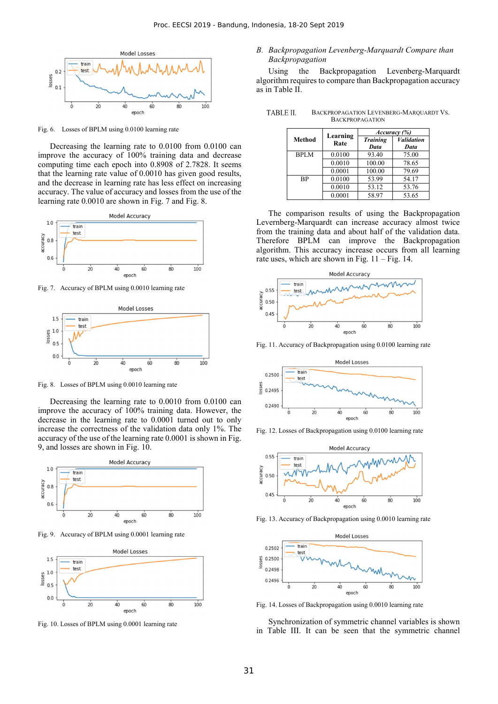

Fig. 6. Losses of BPLM using 0.0100 learning rate

Decreasing the learning rate to 0.0100 from 0.0100 can improve the accuracy of 100% training data and decrease computing time each epoch into 0.8908 of 2.7828. It seems that the learning rate value of 0.0010 has given good results, and the decrease in learning rate has less effect on increasing accuracy. The value of accuracy and losses from the use of the learning rate 0.0010 are shown in Fig. 7 and Fig. 8.



Fig. 7. Accuracy of BPLM using 0.0010 learning rate



Fig. 8. Losses of BPLM using 0.0010 learning rate

Decreasing the learning rate to 0.0010 from 0.0100 can improve the accuracy of 100% training data. However, the decrease in the learning rate to 0.0001 turned out to only increase the correctness of the validation data only 1%. The accuracy of the use of the learning rate 0.0001 is shown in Fig. 9, and losses are shown in Fig. 10.



Fig. 9. Accuracy of BPLM using 0.0001 learning rate



Fig. 10. Losses of BPLM using 0.0001 learning rate

# *B. Backpropagation Levenberg-Marquardt Compare than Backpropagation*

Using the Backpropagation Levenberg-Marquardt algorithm requires to compare than Backpropagation accuracy as in Table II.

TABLE II. BACKPROPAGATION LEVENBERG-MARQUARDT VS. BACKPROPAGATION

|             | Learning | Accuracy (%)                                                                    |                                  |  |
|-------------|----------|---------------------------------------------------------------------------------|----------------------------------|--|
| Method      | Rate     | <b>Training</b><br>Data<br>93.40<br>100.00<br>100.00<br>53.99<br>53.12<br>58.97 | <b><i>Validation</i></b><br>Data |  |
| <b>BPLM</b> | 0.0100   |                                                                                 | 75.00                            |  |
|             | 0.0010   |                                                                                 | 78.65                            |  |
|             | 0.0001   |                                                                                 | 79.69                            |  |
| <b>BP</b>   | 0.0100   |                                                                                 | 54.17                            |  |
|             | 0.0010   |                                                                                 | 53.76                            |  |
|             | 0.0001   |                                                                                 | 53.65                            |  |

The comparison results of using the Backpropagation Levernberg-Marquardt can increase accuracy almost twice from the training data and about half of the validation data. Therefore BPLM can improve the Backpropagation algorithm. This accuracy increase occurs from all learning rate uses, which are shown in Fig. 11 – Fig. 14.



Fig. 11. Accuracy of Backpropagation using 0.0100 learning rate



Fig. 12. Losses of Backpropagation using 0.0100 learning rate



Fig. 13. Accuracy of Backpropagation using 0.0010 learning rate



Fig. 14. Losses of Backpropagation using 0.0010 learning rate

Synchronization of symmetric channel variables is shown in Table III. It can be seen that the symmetric channel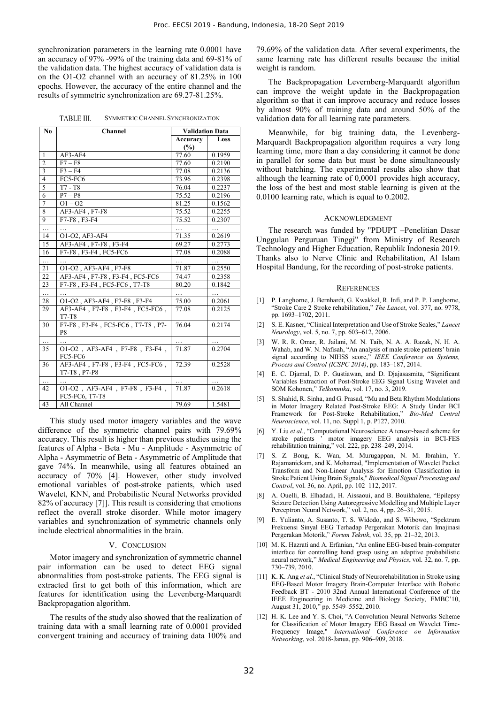synchronization parameters in the learning rate 0.0001 have an accuracy of 97% -99% of the training data and 69-81% of the validation data. The highest accuracy of validation data is on the O1-O2 channel with an accuracy of 81.25% in 100 epochs. However, the accuracy of the entire channel and the results of symmetric synchronization are 69.27-81.25%.

**TABLE III.** SYMMETRIC CHANNEL SYNCHRONIZATION

| N <sub>0</sub> | Channel                                             | <b>Validation Data</b> |          |  |
|----------------|-----------------------------------------------------|------------------------|----------|--|
|                |                                                     | Accuracy               | Loss     |  |
|                |                                                     | (%)                    |          |  |
| $\mathbf{1}$   | $AF3-AF4$                                           | 77.60                  | 0.1959   |  |
| $\overline{2}$ | $F7 - F8$                                           | 77.60                  | 0.2190   |  |
| $\overline{3}$ | $F3 - F4$                                           | 77.08                  | 0.2136   |  |
| $\overline{4}$ | FC5-FC6                                             | 73.96                  | 0.2398   |  |
| 5              | $T7 - T8$                                           | 76.04                  | 0.2237   |  |
| 6              | $P7 - P8$                                           | 75.52                  | 0.2196   |  |
| $\overline{7}$ | $Q1 - Q2$                                           | 81.25                  | 0.1562   |  |
| 8              | AF3-AF4, F7-F8                                      | 75.52                  | 0.2255   |  |
| $\overline{9}$ | F7-F8, F3-F4                                        | 75.52                  | 0.2307   |  |
| .              |                                                     |                        | $\cdots$ |  |
| 14             | O1-O2, AF3-AF4                                      | 71.35                  | 0.2619   |  |
| 15             | AF3-AF4, F7-F8, F3-F4                               | 69.27                  | 0.2773   |  |
| 16             | F7-F8, F3-F4, FC5-FC6                               | 77.08                  | 0.2088   |  |
| .              |                                                     | .                      | .        |  |
| 21             | O1-O2, AF3-AF4, F7-F8                               | 71.87                  | 0.2550   |  |
| 22             | AF3-AF4, F7-F8, F3-F4, FC5-FC6                      | 74.47                  | 0.2358   |  |
| 23             | F7-F8, F3-F4, FC5-FC6, T7-T8                        | 80.20                  | 0.1842   |  |
| .              |                                                     | .                      | $\cdots$ |  |
| 28             | O1-O2, AF3-AF4, F7-F8, F3-F4                        | 75.00                  | 0.2061   |  |
| 29             | AF3-AF4, F7-F8, F3-F4, FC5-FC6,<br>$T7-T8$          | 77.08                  | 0.2125   |  |
| 30             | F7-F8, F3-F4, FC5-FC6, T7-T8, P7-<br>P <sub>8</sub> | 76.04                  | 0.2174   |  |
|                |                                                     |                        |          |  |
| 35             | O1-O2, AF3-AF4, F7-F8, F3-F4,<br>FC5-FC6            | 71.87                  | 0.2704   |  |
| 36             | AF3-AF4, F7-F8, F3-F4, FC5-FC6,<br>T7-T8, P7-P8     | 72.39                  | 0.2528   |  |
|                |                                                     |                        |          |  |
| 42             | O1-O2, AF3-AF4, F7-F8, F3-F4,<br>FC5-FC6, T7-T8     | 71.87                  | 0.2618   |  |
| 43             | All Channel                                         | 79.69                  | 1.5481   |  |

This study used motor imagery variables and the wave difference of the symmetric channel pairs with 79.69% accuracy. This result is higher than previous studies using the features of Alpha - Beta - Mu - Amplitude - Asymmetric of Alpha - Asymmetric of Beta - Asymmetric of Amplitude that gave 74%. In meanwhile, using all features obtained an accuracy of 70% [4]. However, other study involved emotional variables of post-stroke patients, which used Wavelet, KNN, and Probabilistic Neural Networks provided 82% of accuracy [7]]. This result is considering that emotions reflect the overall stroke disorder. While motor imagery variables and synchronization of symmetric channels only include electrical abnormalities in the brain.

#### V. CONCLUSION

Motor imagery and synchronization of symmetric channel pair information can be used to detect EEG signal abnormalities from post-stroke patients. The EEG signal is extracted first to get both of this information, which are features for identification using the Levenberg-Marquardt Backpropagation algorithm.

The results of the study also showed that the realization of training data with a small learning rate of 0.0001 provided convergent training and accuracy of training data 100% and

79.69% of the validation data. After several experiments, the same learning rate has different results because the initial weight is random.

The Backpropagation Levernberg-Marquardt algorithm can improve the weight update in the Backpropagation algorithm so that it can improve accuracy and reduce losses by almost 90% of training data and around 50% of the validation data for all learning rate parameters.

Meanwhile, for big training data, the Levenberg-Marquardt Backpropagation algorithm requires a very long learning time, more than a day considering it cannot be done in parallel for some data but must be done simultaneously without batching. The experimental results also show that although the learning rate of 0,0001 provides high accuracy, the loss of the best and most stable learning is given at the 0.0100 learning rate, which is equal to 0.2002.

# ACKNOWLEDGMENT

The research was funded by "PDUPT –Penelitian Dasar Unggulan Perguruan Tinggi" from Ministry of Research Technology and Higher Education, Republik Indonesia 2019. Thanks also to Nerve Clinic and Rehabilitation, Al Islam Hospital Bandung, for the recording of post-stroke patients.

#### **REFERENCES**

- [1] P. Langhorne, J. Bernhardt, G. Kwakkel, R. Infi, and P. P. Langhorne, "Stroke Care 2 Stroke rehabilitation," *The Lancet*, vol. 377, no. 9778, pp. 1693–1702, 2011.
- [2] S. E. Kasner, "Clinical Interpretation and Use of Stroke Scales," *Lancet Neurology*, vol. 5, no. 7, pp. 603–612, 2006.
- [3] W. R. R. Omar, R. Jailani, M. N. Taib, N. A. A. Razak, N. H. A. Wahab, and W. N. Nafisah, "An analysis of male stroke patients' brain signal according to NIHSS score," *IEEE Conference on Systems, Process and Control (ICSPC 2014)*, pp. 183–187, 2014.
- [4] E. C. Djamal, D. P. Gustiawan, and D. Djajasasmita, "Significant Variables Extraction of Post-Stroke EEG Signal Using Wavelet and SOM Kohonen," *Telkomnika*, vol. 17, no. 3, 2019.
- [5] S. Shahid, R. Sinha, and G. Prasad, "Mu and Beta Rhythm Modulations in Motor Imagery Related Post-Stroke EEG: A Study Under BCI Framework for Post-Stroke Rehabilitation," *Bio-Med Central Neuroscience*, vol. 11, no. Suppl 1, p. P127, 2010.
- [6] Y. Liu *et al.*, "Computational Neuroscience A tensor-based scheme for stroke patients ' motor imagery EEG analysis in BCI-FES rehabilitation training," vol. 222, pp. 238–249, 2014.
- [7] S. Z. Bong, K. Wan, M. Murugappan, N. M. Ibrahim, Y. Rajamanickam, and K. Mohamad, "Implementation of Wavelet Packet Transform and Non-Linear Analysis for Emotion Classification in Stroke Patient Using Brain Signals," *Biomedical Signal Processing and Control*, vol. 36, no. April, pp. 102–112, 2017.
- [8] A. Ouelli, B. Elhadadi, H. Aissaoui, and B. Bouikhalene, "Epilepsy Seizure Detection Using Autoregressive Modelling and Multiple Layer Perceptron Neural Network," vol. 2, no. 4, pp. 26–31, 2015.
- [9] E. Yulianto, A. Susanto, T. S. Widodo, and S. Wibowo, "Spektrum Frekuensi Sinyal EEG Terhadap Pergerakan Motorik dan Imajinasi Pergerakan Motorik," *Forum Teknik*, vol. 35, pp. 21–32, 2013.
- [10] M. K. Hazrati and A. Erfanian, "An online EEG-based brain-computer interface for controlling hand grasp using an adaptive probabilistic neural network," *Medical Engineering and Physics*, vol. 32, no. 7, pp. 730–739, 2010.
- [11] K. K. Ang *et al.*, "Clinical Study of Neurorehabilitation in Stroke using EEG-Based Motor Imagery Brain-Computer Interface with Robotic Feedback BT - 2010 32nd Annual International Conference of the IEEE Engineering in Medicine and Biology Society, EMBC'10, August 31, 2010," pp. 5549–5552, 2010.
- [12] H. K. Lee and Y. S. Choi, "A Convolution Neural Networks Scheme for Classification of Motor Imagery EEG Based on Wavelet Time-Frequency Image," *International Conference on Information Networking*, vol. 2018-Janua, pp. 906–909, 2018.